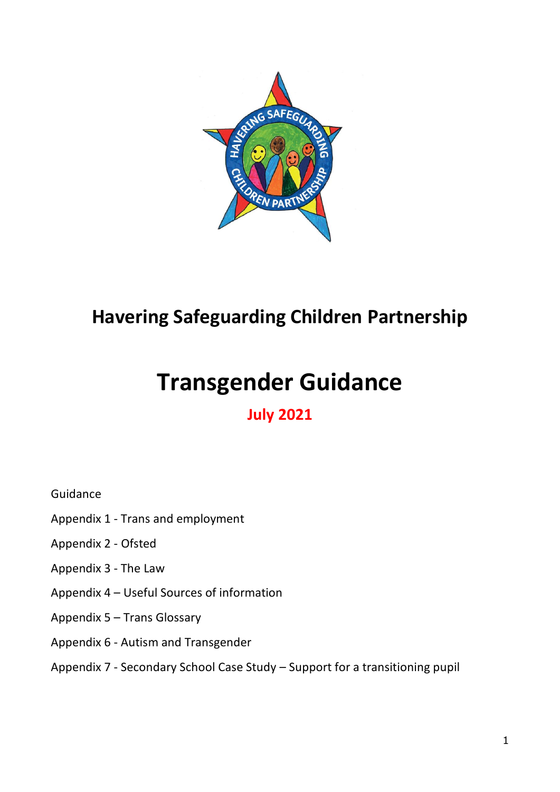

## **Havering Safeguarding Children Partnership**

# **Transgender Guidance**

## **July 2021**

Guidance

- Appendix 1 Trans and employment
- Appendix 2 Ofsted
- Appendix 3 The Law
- Appendix 4 Useful Sources of information
- Appendix 5 Trans Glossary
- Appendix 6 Autism and Transgender
- Appendix 7 Secondary School Case Study Support for a transitioning pupil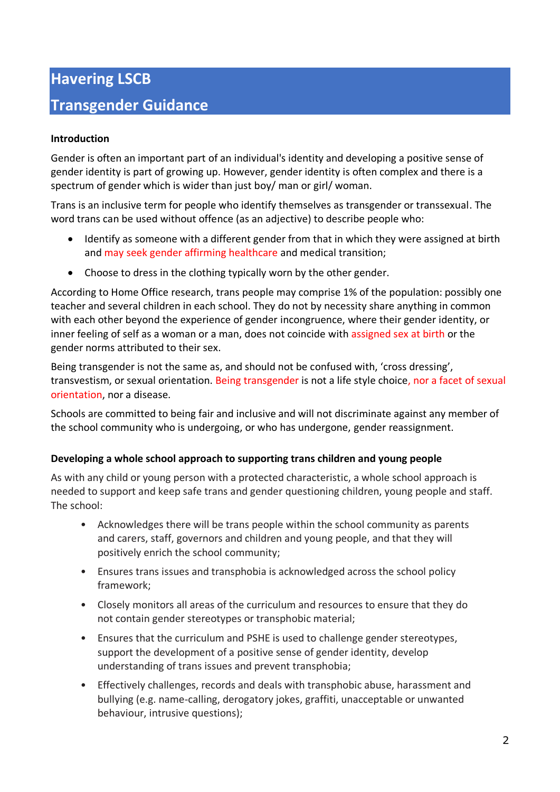## **Havering LSCB Transgender Guidance**

#### **Introduction**

Gender is often an important part of an individual's identity and developing a positive sense of gender identity is part of growing up. However, gender identity is often complex and there is a spectrum of gender which is wider than just boy/ man or girl/ woman.

Trans is an inclusive term for people who identify themselves as transgender or transsexual. The word trans can be used without offence (as an adjective) to describe people who:

- Identify as someone with a different gender from that in which they were assigned at birth and may seek gender affirming healthcare and medical transition;
- Choose to dress in the clothing typically worn by the other gender.

According to Home Office research, trans people may comprise 1% of the population: possibly one teacher and several children in each school. They do not by necessity share anything in common with each other beyond the experience of gender incongruence, where their gender identity, or inner feeling of self as a woman or a man, does not coincide with assigned sex at birth or the gender norms attributed to their sex.

Being transgender is not the same as, and should not be confused with, 'cross dressing', transvestism, or sexual orientation. Being transgender is not a life style choice, nor a facet of sexual orientation, nor a disease.

Schools are committed to being fair and inclusive and will not discriminate against any member of the school community who is undergoing, or who has undergone, gender reassignment.

#### **Developing a whole school approach to supporting trans children and young people**

As with any child or young person with a protected characteristic, a whole school approach is needed to support and keep safe trans and gender questioning children, young people and staff. The school:

- Acknowledges there will be trans people within the school community as parents and carers, staff, governors and children and young people, and that they will positively enrich the school community;
- Ensures trans issues and transphobia is acknowledged across the school policy framework;
- Closely monitors all areas of the curriculum and resources to ensure that they do not contain gender stereotypes or transphobic material;
- Ensures that the curriculum and PSHE is used to challenge gender stereotypes, support the development of a positive sense of gender identity, develop understanding of trans issues and prevent transphobia;
- Effectively challenges, records and deals with transphobic abuse, harassment and bullying (e.g. name-calling, derogatory jokes, graffiti, unacceptable or unwanted behaviour, intrusive questions);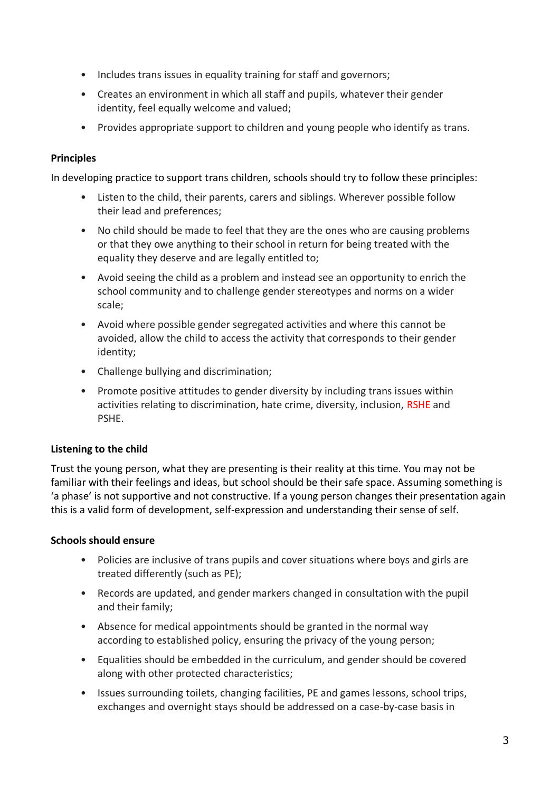- Includes trans issues in equality training for staff and governors;
- Creates an environment in which all staff and pupils, whatever their gender identity, feel equally welcome and valued;
- Provides appropriate support to children and young people who identify as trans.

#### **Principles**

In developing practice to support trans children, schools should try to follow these principles:

- Listen to the child, their parents, carers and siblings. Wherever possible follow their lead and preferences;
- No child should be made to feel that they are the ones who are causing problems or that they owe anything to their school in return for being treated with the equality they deserve and are legally entitled to;
- Avoid seeing the child as a problem and instead see an opportunity to enrich the school community and to challenge gender stereotypes and norms on a wider scale;
- Avoid where possible gender segregated activities and where this cannot be avoided, allow the child to access the activity that corresponds to their gender identity;
- Challenge bullying and discrimination;
- Promote positive attitudes to gender diversity by including trans issues within activities relating to discrimination, hate crime, diversity, inclusion, RSHE and PSHE.

#### **Listening to the child**

Trust the young person, what they are presenting is their reality at this time. You may not be familiar with their feelings and ideas, but school should be their safe space. Assuming something is 'a phase' is not supportive and not constructive. If a young person changes their presentation again this is a valid form of development, self-expression and understanding their sense of self.

#### **Schools should ensure**

- Policies are inclusive of trans pupils and cover situations where boys and girls are treated differently (such as PE);
- Records are updated, and gender markers changed in consultation with the pupil and their family;
- Absence for medical appointments should be granted in the normal way according to established policy, ensuring the privacy of the young person;
- Equalities should be embedded in the curriculum, and gender should be covered along with other protected characteristics;
- Issues surrounding toilets, changing facilities, PE and games lessons, school trips, exchanges and overnight stays should be addressed on a case-by-case basis in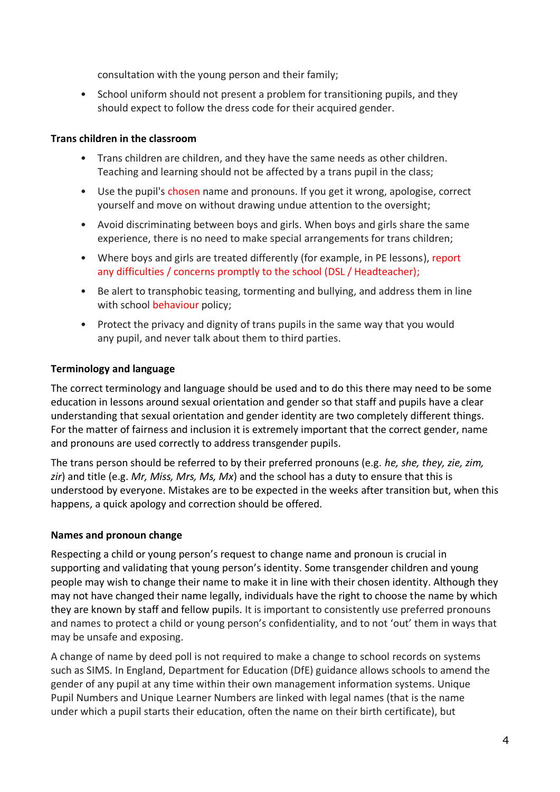consultation with the young person and their family;

• School uniform should not present a problem for transitioning pupils, and they should expect to follow the dress code for their acquired gender.

#### **Trans children in the classroom**

- Trans children are children, and they have the same needs as other children. Teaching and learning should not be affected by a trans pupil in the class;
- Use the pupil's chosen name and pronouns. If you get it wrong, apologise, correct yourself and move on without drawing undue attention to the oversight;
- Avoid discriminating between boys and girls. When boys and girls share the same experience, there is no need to make special arrangements for trans children;
- Where boys and girls are treated differently (for example, in PE lessons), report any difficulties / concerns promptly to the school (DSL / Headteacher);
- Be alert to transphobic teasing, tormenting and bullying, and address them in line with school behaviour policy;
- Protect the privacy and dignity of trans pupils in the same way that you would any pupil, and never talk about them to third parties.

#### **Terminology and language**

The correct terminology and language should be used and to do this there may need to be some education in lessons around sexual orientation and gender so that staff and pupils have a clear understanding that sexual orientation and gender identity are two completely different things. For the matter of fairness and inclusion it is extremely important that the correct gender, name and pronouns are used correctly to address transgender pupils.

The trans person should be referred to by their preferred pronouns (e.g. *he, she, they, zie, zim, zir*) and title (e.g. *Mr, Miss, Mrs, Ms, Mx*) and the school has a duty to ensure that this is understood by everyone. Mistakes are to be expected in the weeks after transition but, when this happens, a quick apology and correction should be offered.

#### **Names and pronoun change**

Respecting a child or young person's request to change name and pronoun is crucial in supporting and validating that young person's identity. Some transgender children and young people may wish to change their name to make it in line with their chosen identity. Although they may not have changed their name legally, individuals have the right to choose the name by which they are known by staff and fellow pupils. It is important to consistently use preferred pronouns and names to protect a child or young person's confidentiality, and to not 'out' them in ways that may be unsafe and exposing.

A change of name by deed poll is not required to make a change to school records on systems such as SIMS. In England, Department for Education (DfE) guidance allows schools to amend the gender of any pupil at any time within their own management information systems. Unique Pupil Numbers and Unique Learner Numbers are linked with legal names (that is the name under which a pupil starts their education, often the name on their birth certificate), but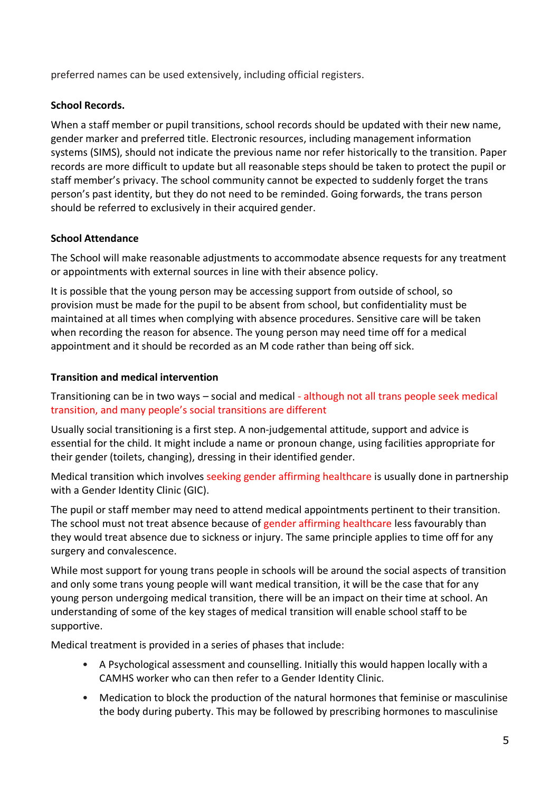preferred names can be used extensively, including official registers.

#### **School Records.**

When a staff member or pupil transitions, school records should be updated with their new name, gender marker and preferred title. Electronic resources, including management information systems (SIMS), should not indicate the previous name nor refer historically to the transition. Paper records are more difficult to update but all reasonable steps should be taken to protect the pupil or staff member's privacy. The school community cannot be expected to suddenly forget the trans person's past identity, but they do not need to be reminded. Going forwards, the trans person should be referred to exclusively in their acquired gender.

#### **School Attendance**

The School will make reasonable adjustments to accommodate absence requests for any treatment or appointments with external sources in line with their absence policy.

It is possible that the young person may be accessing support from outside of school, so provision must be made for the pupil to be absent from school, but confidentiality must be maintained at all times when complying with absence procedures. Sensitive care will be taken when recording the reason for absence. The young person may need time off for a medical appointment and it should be recorded as an M code rather than being off sick.

#### **Transition and medical intervention**

Transitioning can be in two ways – social and medical - although not all trans people seek medical transition, and many people's social transitions are different

Usually social transitioning is a first step. A non-judgemental attitude, support and advice is essential for the child. It might include a name or pronoun change, using facilities appropriate for their gender (toilets, changing), dressing in their identified gender.

Medical transition which involves seeking gender affirming healthcare is usually done in partnership with a Gender Identity Clinic (GIC).

The pupil or staff member may need to attend medical appointments pertinent to their transition. The school must not treat absence because of gender affirming healthcare less favourably than they would treat absence due to sickness or injury. The same principle applies to time off for any surgery and convalescence.

While most support for young trans people in schools will be around the social aspects of transition and only some trans young people will want medical transition, it will be the case that for any young person undergoing medical transition, there will be an impact on their time at school. An understanding of some of the key stages of medical transition will enable school staff to be supportive.

Medical treatment is provided in a series of phases that include:

- A Psychological assessment and counselling. Initially this would happen locally with a CAMHS worker who can then refer to a Gender Identity Clinic.
- Medication to block the production of the natural hormones that feminise or masculinise the body during puberty. This may be followed by prescribing hormones to masculinise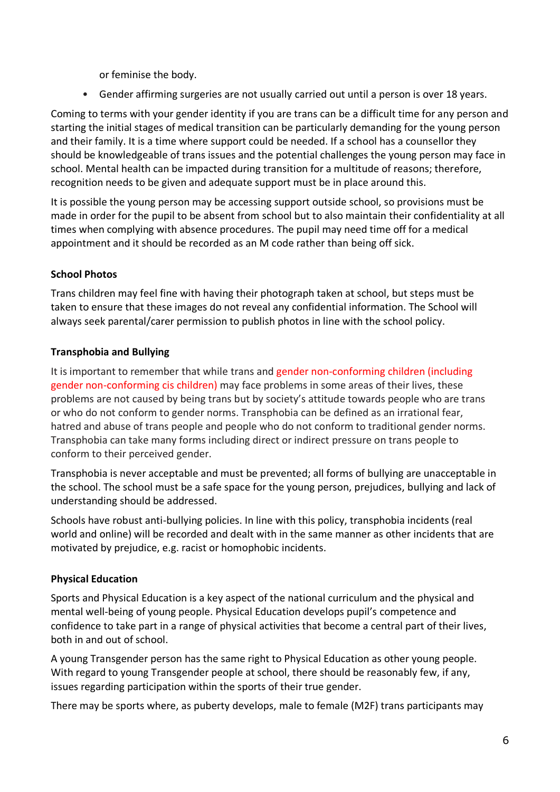or feminise the body.

• Gender affirming surgeries are not usually carried out until a person is over 18 years.

Coming to terms with your gender identity if you are trans can be a difficult time for any person and starting the initial stages of medical transition can be particularly demanding for the young person and their family. It is a time where support could be needed. If a school has a counsellor they should be knowledgeable of trans issues and the potential challenges the young person may face in school. Mental health can be impacted during transition for a multitude of reasons; therefore, recognition needs to be given and adequate support must be in place around this.

It is possible the young person may be accessing support outside school, so provisions must be made in order for the pupil to be absent from school but to also maintain their confidentiality at all times when complying with absence procedures. The pupil may need time off for a medical appointment and it should be recorded as an M code rather than being off sick.

#### **School Photos**

Trans children may feel fine with having their photograph taken at school, but steps must be taken to ensure that these images do not reveal any confidential information. The School will always seek parental/carer permission to publish photos in line with the school policy.

#### **Transphobia and Bullying**

It is important to remember that while trans and gender non-conforming children (including gender non-conforming cis children) may face problems in some areas of their lives, these problems are not caused by being trans but by society's attitude towards people who are trans or who do not conform to gender norms. Transphobia can be defined as an irrational fear, hatred and abuse of trans people and people who do not conform to traditional gender norms. Transphobia can take many forms including direct or indirect pressure on trans people to conform to their perceived gender.

Transphobia is never acceptable and must be prevented; all forms of bullying are unacceptable in the school. The school must be a safe space for the young person, prejudices, bullying and lack of understanding should be addressed.

Schools have robust anti-bullying policies. In line with this policy, transphobia incidents (real world and online) will be recorded and dealt with in the same manner as other incidents that are motivated by prejudice, e.g. racist or homophobic incidents.

#### **Physical Education**

Sports and Physical Education is a key aspect of the national curriculum and the physical and mental well-being of young people. Physical Education develops pupil's competence and confidence to take part in a range of physical activities that become a central part of their lives, both in and out of school.

A young Transgender person has the same right to Physical Education as other young people. With regard to young Transgender people at school, there should be reasonably few, if any, issues regarding participation within the sports of their true gender.

There may be sports where, as puberty develops, male to female (M2F) trans participants may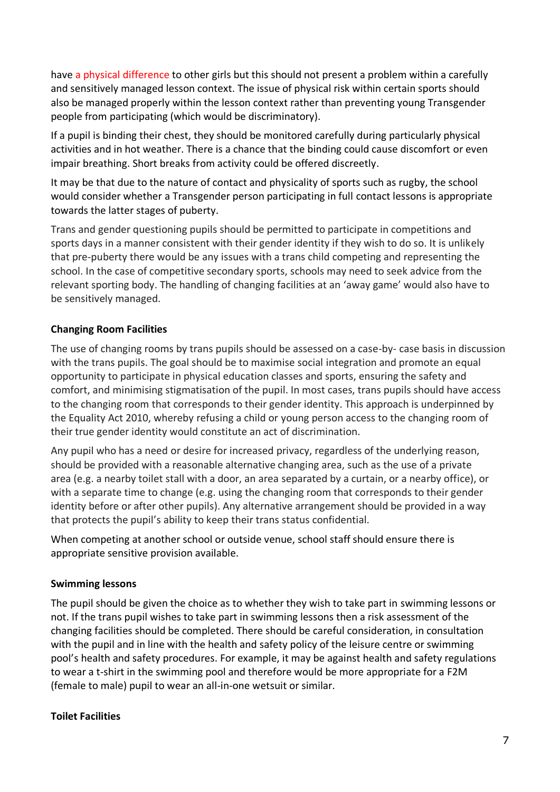have a physical difference to other girls but this should not present a problem within a carefully and sensitively managed lesson context. The issue of physical risk within certain sports should also be managed properly within the lesson context rather than preventing young Transgender people from participating (which would be discriminatory).

If a pupil is binding their chest, they should be monitored carefully during particularly physical activities and in hot weather. There is a chance that the binding could cause discomfort or even impair breathing. Short breaks from activity could be offered discreetly.

It may be that due to the nature of contact and physicality of sports such as rugby, the school would consider whether a Transgender person participating in full contact lessons is appropriate towards the latter stages of puberty.

Trans and gender questioning pupils should be permitted to participate in competitions and sports days in a manner consistent with their gender identity if they wish to do so. It is unlikely that pre-puberty there would be any issues with a trans child competing and representing the school. In the case of competitive secondary sports, schools may need to seek advice from the relevant sporting body. The handling of changing facilities at an 'away game' would also have to be sensitively managed.

#### **Changing Room Facilities**

The use of changing rooms by trans pupils should be assessed on a case-by- case basis in discussion with the trans pupils. The goal should be to maximise social integration and promote an equal opportunity to participate in physical education classes and sports, ensuring the safety and comfort, and minimising stigmatisation of the pupil. In most cases, trans pupils should have access to the changing room that corresponds to their gender identity. This approach is underpinned by the Equality Act 2010, whereby refusing a child or young person access to the changing room of their true gender identity would constitute an act of discrimination.

Any pupil who has a need or desire for increased privacy, regardless of the underlying reason, should be provided with a reasonable alternative changing area, such as the use of a private area (e.g. a nearby toilet stall with a door, an area separated by a curtain, or a nearby office), or with a separate time to change (e.g. using the changing room that corresponds to their gender identity before or after other pupils). Any alternative arrangement should be provided in a way that protects the pupil's ability to keep their trans status confidential.

When competing at another school or outside venue, school staff should ensure there is appropriate sensitive provision available.

#### **Swimming lessons**

The pupil should be given the choice as to whether they wish to take part in swimming lessons or not. If the trans pupil wishes to take part in swimming lessons then a risk assessment of the changing facilities should be completed. There should be careful consideration, in consultation with the pupil and in line with the health and safety policy of the leisure centre or swimming pool's health and safety procedures. For example, it may be against health and safety regulations to wear a t-shirt in the swimming pool and therefore would be more appropriate for a F2M (female to male) pupil to wear an all-in-one wetsuit or similar.

#### **Toilet Facilities**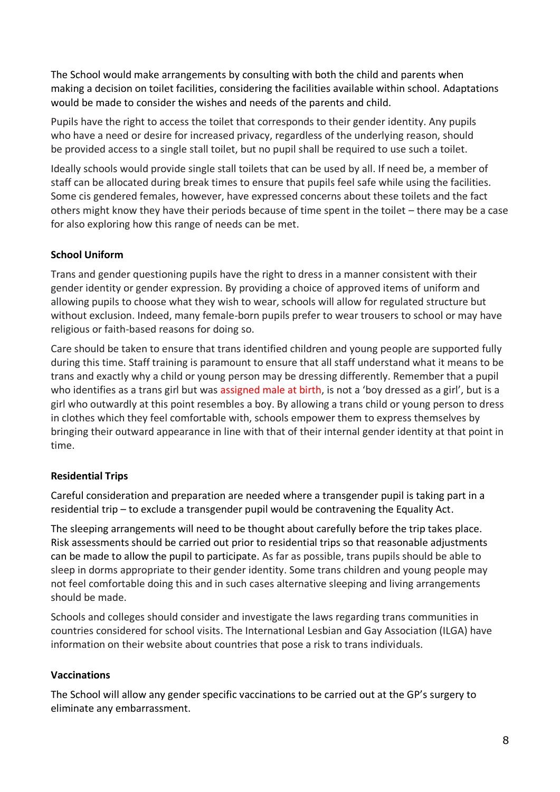The School would make arrangements by consulting with both the child and parents when making a decision on toilet facilities, considering the facilities available within school. Adaptations would be made to consider the wishes and needs of the parents and child.

Pupils have the right to access the toilet that corresponds to their gender identity. Any pupils who have a need or desire for increased privacy, regardless of the underlying reason, should be provided access to a single stall toilet, but no pupil shall be required to use such a toilet.

Ideally schools would provide single stall toilets that can be used by all. If need be, a member of staff can be allocated during break times to ensure that pupils feel safe while using the facilities. Some cis gendered females, however, have expressed concerns about these toilets and the fact others might know they have their periods because of time spent in the toilet – there may be a case for also exploring how this range of needs can be met.

#### **School Uniform**

Trans and gender questioning pupils have the right to dress in a manner consistent with their gender identity or gender expression. By providing a choice of approved items of uniform and allowing pupils to choose what they wish to wear, schools will allow for regulated structure but without exclusion. Indeed, many female-born pupils prefer to wear trousers to school or may have religious or faith-based reasons for doing so.

Care should be taken to ensure that trans identified children and young people are supported fully during this time. Staff training is paramount to ensure that all staff understand what it means to be trans and exactly why a child or young person may be dressing differently. Remember that a pupil who identifies as a trans girl but was assigned male at birth, is not a 'boy dressed as a girl', but is a girl who outwardly at this point resembles a boy. By allowing a trans child or young person to dress in clothes which they feel comfortable with, schools empower them to express themselves by bringing their outward appearance in line with that of their internal gender identity at that point in time.

#### **Residential Trips**

Careful consideration and preparation are needed where a transgender pupil is taking part in a residential trip – to exclude a transgender pupil would be contravening the Equality Act.

The sleeping arrangements will need to be thought about carefully before the trip takes place. Risk assessments should be carried out prior to residential trips so that reasonable adjustments can be made to allow the pupil to participate. As far as possible, trans pupils should be able to sleep in dorms appropriate to their gender identity. Some trans children and young people may not feel comfortable doing this and in such cases alternative sleeping and living arrangements should be made.

Schools and colleges should consider and investigate the laws regarding trans communities in countries considered for school visits. The International Lesbian and Gay Association (ILGA) have information on their website about countries that pose a risk to trans individuals.

#### **Vaccinations**

The School will allow any gender specific vaccinations to be carried out at the GP's surgery to eliminate any embarrassment.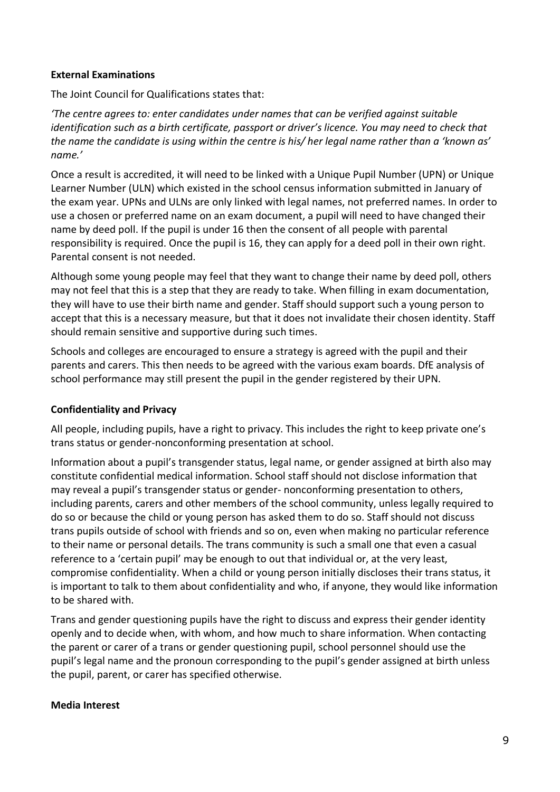#### **External Examinations**

The Joint Council for Qualifications states that:

*'The centre agrees to: enter candidates under names that can be verified against suitable identification such as a birth certificate, passport or driver's licence. You may need to check that the name the candidate is using within the centre is his/ her legal name rather than a 'known as' name.'*

Once a result is accredited, it will need to be linked with a Unique Pupil Number (UPN) or Unique Learner Number (ULN) which existed in the school census information submitted in January of the exam year. UPNs and ULNs are only linked with legal names, not preferred names. In order to use a chosen or preferred name on an exam document, a pupil will need to have changed their name by deed poll. If the pupil is under 16 then the consent of all people with parental responsibility is required. Once the pupil is 16, they can apply for a deed poll in their own right. Parental consent is not needed.

Although some young people may feel that they want to change their name by deed poll, others may not feel that this is a step that they are ready to take. When filling in exam documentation, they will have to use their birth name and gender. Staff should support such a young person to accept that this is a necessary measure, but that it does not invalidate their chosen identity. Staff should remain sensitive and supportive during such times.

Schools and colleges are encouraged to ensure a strategy is agreed with the pupil and their parents and carers. This then needs to be agreed with the various exam boards. DfE analysis of school performance may still present the pupil in the gender registered by their UPN.

#### **Confidentiality and Privacy**

All people, including pupils, have a right to privacy. This includes the right to keep private one's trans status or gender-nonconforming presentation at school.

Information about a pupil's transgender status, legal name, or gender assigned at birth also may constitute confidential medical information. School staff should not disclose information that may reveal a pupil's transgender status or gender- nonconforming presentation to others, including parents, carers and other members of the school community, unless legally required to do so or because the child or young person has asked them to do so. Staff should not discuss trans pupils outside of school with friends and so on, even when making no particular reference to their name or personal details. The trans community is such a small one that even a casual reference to a 'certain pupil' may be enough to out that individual or, at the very least, compromise confidentiality. When a child or young person initially discloses their trans status, it is important to talk to them about confidentiality and who, if anyone, they would like information to be shared with.

Trans and gender questioning pupils have the right to discuss and express their gender identity openly and to decide when, with whom, and how much to share information. When contacting the parent or carer of a trans or gender questioning pupil, school personnel should use the pupil's legal name and the pronoun corresponding to the pupil's gender assigned at birth unless the pupil, parent, or carer has specified otherwise.

#### **Media Interest**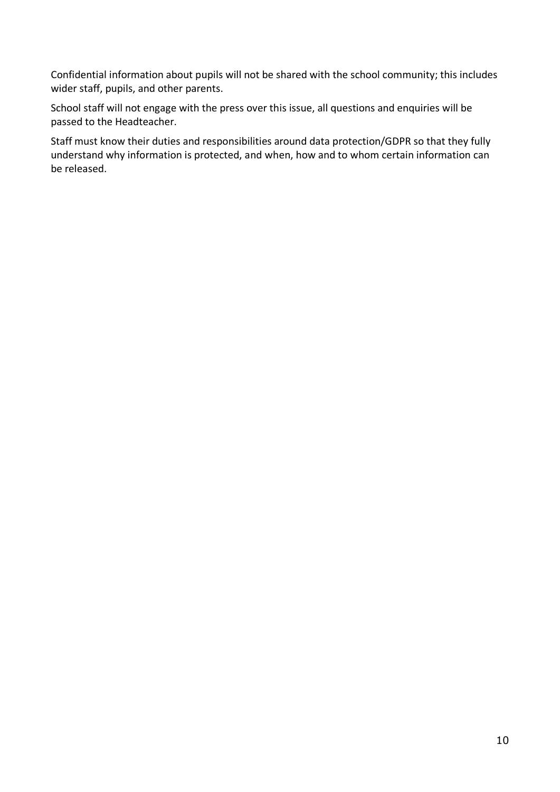Confidential information about pupils will not be shared with the school community; this includes wider staff, pupils, and other parents.

School staff will not engage with the press over this issue, all questions and enquiries will be passed to the Headteacher.

Staff must know their duties and responsibilities around data protection/GDPR so that they fully understand why information is protected, and when, how and to whom certain information can be released.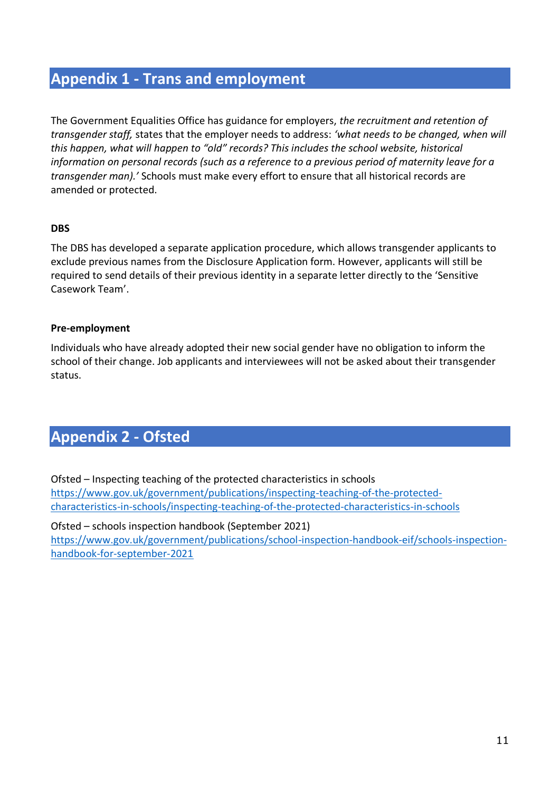### **Appendix 1 - Trans and employment**

The Government Equalities Office has guidance for employers, *the recruitment and retention of transgender staff,* states that the employer needs to address: *'what needs to be changed, when will this happen, what will happen to "old" records? This includes the school website, historical information on personal records (such as a reference to a previous period of maternity leave for a transgender man).'* Schools must make every effort to ensure that all historical records are amended or protected.

#### **DBS**

The DBS has developed a separate application procedure, which allows transgender applicants to exclude previous names from the Disclosure Application form. However, applicants will still be required to send details of their previous identity in a separate letter directly to the 'Sensitive Casework Team'.

#### **Pre-employment**

Individuals who have already adopted their new social gender have no obligation to inform the school of their change. Job applicants and interviewees will not be asked about their transgender status.

### **Appendix 2 - Ofsted**

Ofsted – Inspecting teaching of the protected characteristics in schools [https://www.gov.uk/government/publications/inspecting-teaching-of-the-protected](https://www.gov.uk/government/publications/inspecting-teaching-of-the-protected-characteristics-in-schools/inspecting-teaching-of-the-protected-characteristics-in-schools)[characteristics-in-schools/inspecting-teaching-of-the-protected-characteristics-in-schools](https://www.gov.uk/government/publications/inspecting-teaching-of-the-protected-characteristics-in-schools/inspecting-teaching-of-the-protected-characteristics-in-schools)

Ofsted – schools inspection handbook (September 2021) [https://www.gov.uk/government/publications/school-inspection-handbook-eif/schools-inspection](https://www.gov.uk/government/publications/school-inspection-handbook-eif/schools-inspection-handbook-for-september-2021)[handbook-for-september-2021](https://www.gov.uk/government/publications/school-inspection-handbook-eif/schools-inspection-handbook-for-september-2021)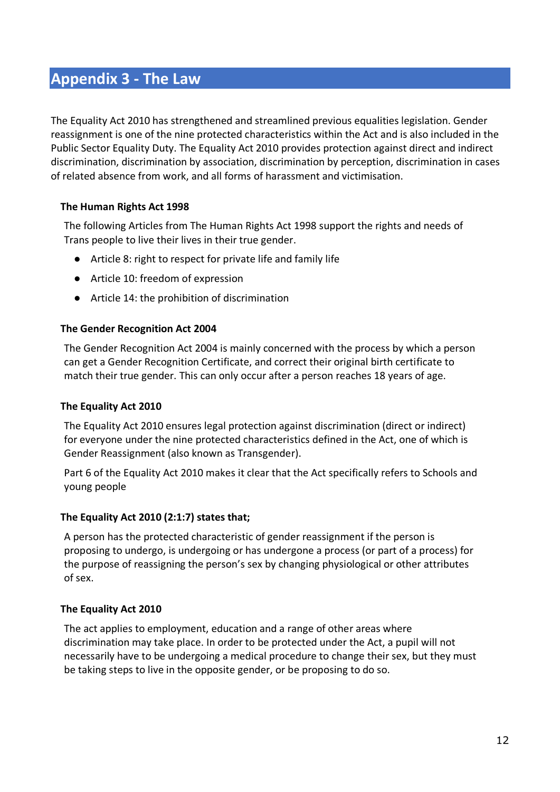### **Appendix 3 - The Law**

The Equality Act 2010 has strengthened and streamlined previous equalities legislation. Gender reassignment is one of the nine protected characteristics within the Act and is also included in the Public Sector Equality Duty. The Equality Act 2010 provides protection against direct and indirect discrimination, discrimination by association, discrimination by perception, discrimination in cases of related absence from work, and all forms of harassment and victimisation.

#### **The Human Rights Act 1998**

The following Articles from The Human Rights Act 1998 support the rights and needs of Trans people to live their lives in their true gender.

- Article 8: right to respect for private life and family life
- Article 10: freedom of expression
- Article 14: the prohibition of discrimination

#### **The Gender Recognition Act 2004**

The Gender Recognition Act 2004 is mainly concerned with the process by which a person can get a Gender Recognition Certificate, and correct their original birth certificate to match their true gender. This can only occur after a person reaches 18 years of age.

#### **The Equality Act 2010**

The Equality Act 2010 ensures legal protection against discrimination (direct or indirect) for everyone under the nine protected characteristics defined in the Act, one of which is Gender Reassignment (also known as Transgender).

Part 6 of the Equality Act 2010 makes it clear that the Act specifically refers to Schools and young people

#### **The Equality Act 2010 (2:1:7) states that;**

A person has the protected characteristic of gender reassignment if the person is proposing to undergo, is undergoing or has undergone a process (or part of a process) for the purpose of reassigning the person's sex by changing physiological or other attributes of sex.

#### **The Equality Act 2010**

The act applies to employment, education and a range of other areas where discrimination may take place. In order to be protected under the Act, a pupil will not necessarily have to be undergoing a medical procedure to change their sex, but they must be taking steps to live in the opposite gender, or be proposing to do so.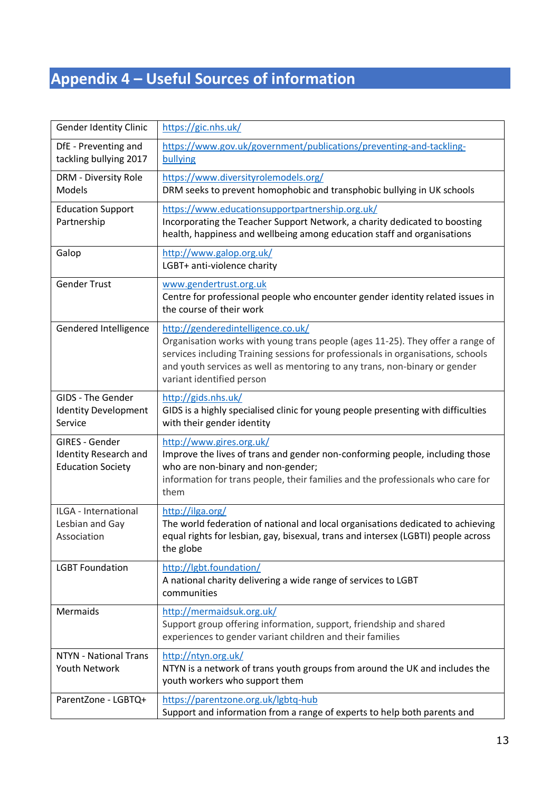## **Appendix 4 – Useful Sources of information**

| <b>Gender Identity Clinic</b>                                              | https://gic.nhs.uk/                                                                                                                                                                                                                                                                                                 |
|----------------------------------------------------------------------------|---------------------------------------------------------------------------------------------------------------------------------------------------------------------------------------------------------------------------------------------------------------------------------------------------------------------|
| DfE - Preventing and<br>tackling bullying 2017                             | https://www.gov.uk/government/publications/preventing-and-tackling-<br>bullying                                                                                                                                                                                                                                     |
| <b>DRM - Diversity Role</b><br>Models                                      | https://www.diversityrolemodels.org/<br>DRM seeks to prevent homophobic and transphobic bullying in UK schools                                                                                                                                                                                                      |
| <b>Education Support</b><br>Partnership                                    | https://www.educationsupportpartnership.org.uk/<br>Incorporating the Teacher Support Network, a charity dedicated to boosting<br>health, happiness and wellbeing among education staff and organisations                                                                                                            |
| Galop                                                                      | http://www.galop.org.uk/<br>LGBT+ anti-violence charity                                                                                                                                                                                                                                                             |
| <b>Gender Trust</b>                                                        | www.gendertrust.org.uk<br>Centre for professional people who encounter gender identity related issues in<br>the course of their work                                                                                                                                                                                |
| Gendered Intelligence                                                      | http://genderedintelligence.co.uk/<br>Organisation works with young trans people (ages 11-25). They offer a range of<br>services including Training sessions for professionals in organisations, schools<br>and youth services as well as mentoring to any trans, non-binary or gender<br>variant identified person |
| <b>GIDS - The Gender</b><br><b>Identity Development</b><br>Service         | http://gids.nhs.uk/<br>GIDS is a highly specialised clinic for young people presenting with difficulties<br>with their gender identity                                                                                                                                                                              |
| GIRES - Gender<br><b>Identity Research and</b><br><b>Education Society</b> | http://www.gires.org.uk/<br>Improve the lives of trans and gender non-conforming people, including those<br>who are non-binary and non-gender;<br>information for trans people, their families and the professionals who care for<br>them                                                                           |
| ILGA - International<br>Lesbian and Gay<br>Association                     | http://ilga.org/<br>The world federation of national and local organisations dedicated to achieving<br>equal rights for lesbian, gay, bisexual, trans and intersex (LGBTI) people across<br>the globe                                                                                                               |
| <b>LGBT Foundation</b>                                                     | http://lgbt.foundation/<br>A national charity delivering a wide range of services to LGBT<br>communities                                                                                                                                                                                                            |
| <b>Mermaids</b>                                                            | http://mermaidsuk.org.uk/<br>Support group offering information, support, friendship and shared<br>experiences to gender variant children and their families                                                                                                                                                        |
| <b>NTYN - National Trans</b><br><b>Youth Network</b>                       | http://ntyn.org.uk/<br>NTYN is a network of trans youth groups from around the UK and includes the<br>youth workers who support them                                                                                                                                                                                |
| ParentZone - LGBTQ+                                                        | https://parentzone.org.uk/lgbtq-hub<br>Support and information from a range of experts to help both parents and                                                                                                                                                                                                     |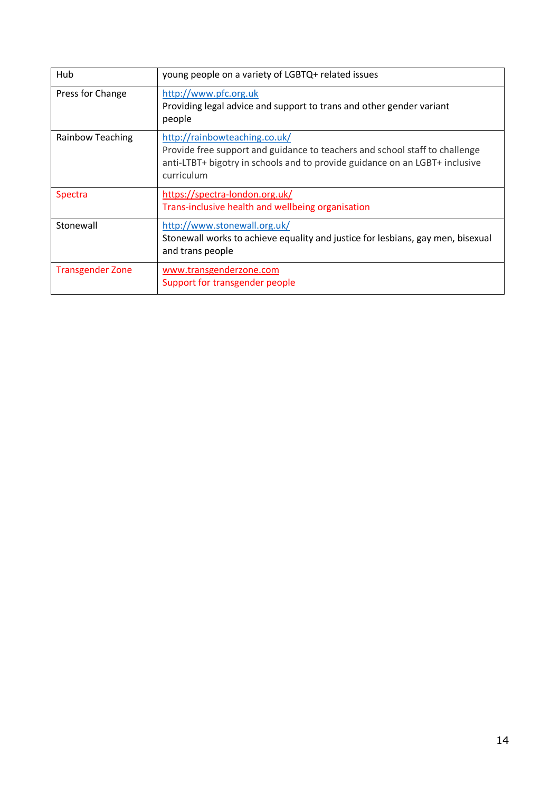| Hub                     | young people on a variety of LGBTQ+ related issues                                                                                                                                                        |
|-------------------------|-----------------------------------------------------------------------------------------------------------------------------------------------------------------------------------------------------------|
| Press for Change        | http://www.pfc.org.uk<br>Providing legal advice and support to trans and other gender variant<br>people                                                                                                   |
| Rainbow Teaching        | http://rainbowteaching.co.uk/<br>Provide free support and guidance to teachers and school staff to challenge<br>anti-LTBT+ bigotry in schools and to provide guidance on an LGBT+ inclusive<br>curriculum |
| Spectra                 | https://spectra-london.org.uk/<br>Trans-inclusive health and wellbeing organisation                                                                                                                       |
| Stonewall               | http://www.stonewall.org.uk/<br>Stonewall works to achieve equality and justice for lesbians, gay men, bisexual<br>and trans people                                                                       |
| <b>Transgender Zone</b> | www.transgenderzone.com<br>Support for transgender people                                                                                                                                                 |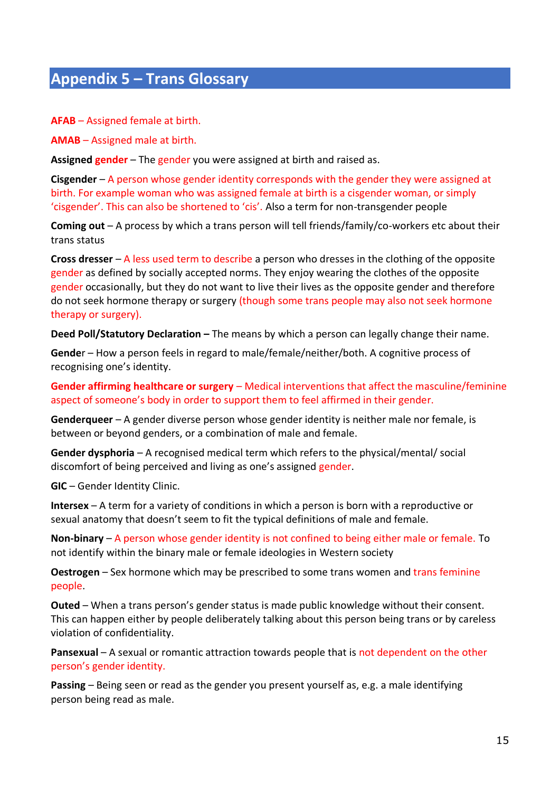## **Appendix 5 – Trans Glossary**

**AFAB** – Assigned female at birth.

**AMAB** – Assigned male at birth.

**Assigned gender** – The gender you were assigned at birth and raised as.

**Cisgender** – A person whose gender identity corresponds with the gender they were assigned at birth. For example woman who was assigned female at birth is a cisgender woman, or simply 'cisgender'. This can also be shortened to 'cis'. Also a term for non-transgender people

**Coming out** – A process by which a trans person will tell friends/family/co-workers etc about their trans status

**Cross dresser** – A less used term to describe a person who dresses in the clothing of the opposite gender as defined by socially accepted norms. They enjoy wearing the clothes of the opposite gender occasionally, but they do not want to live their lives as the opposite gender and therefore do not seek hormone therapy or surgery (though some trans people may also not seek hormone therapy or surgery).

**Deed Poll/Statutory Declaration –** The means by which a person can legally change their name.

**Gende**r – How a person feels in regard to male/female/neither/both. A cognitive process of recognising one's identity.

**Gender affirming healthcare or surgery** – Medical interventions that affect the masculine/feminine aspect of someone's body in order to support them to feel affirmed in their gender.

**Genderqueer** – A gender diverse person whose gender identity is neither male nor female, is between or beyond genders, or a combination of male and female.

**Gender dysphoria** – A recognised medical term which refers to the physical/mental/ social discomfort of being perceived and living as one's assigned gender.

**GIC** – Gender Identity Clinic.

**Intersex** – A term for a variety of conditions in which a person is born with a reproductive or sexual anatomy that doesn't seem to fit the typical definitions of male and female.

**Non-binary** – A person whose gender identity is not confined to being either male or female. To not identify within the binary male or female ideologies in Western society

**Oestrogen** – Sex hormone which may be prescribed to some trans women and trans feminine people.

**Outed** – When a trans person's gender status is made public knowledge without their consent. This can happen either by people deliberately talking about this person being trans or by careless violation of confidentiality.

**Pansexual** – A sexual or romantic attraction towards people that is not dependent on the other person's gender identity.

**Passing** – Being seen or read as the gender you present yourself as, e.g. a male identifying person being read as male.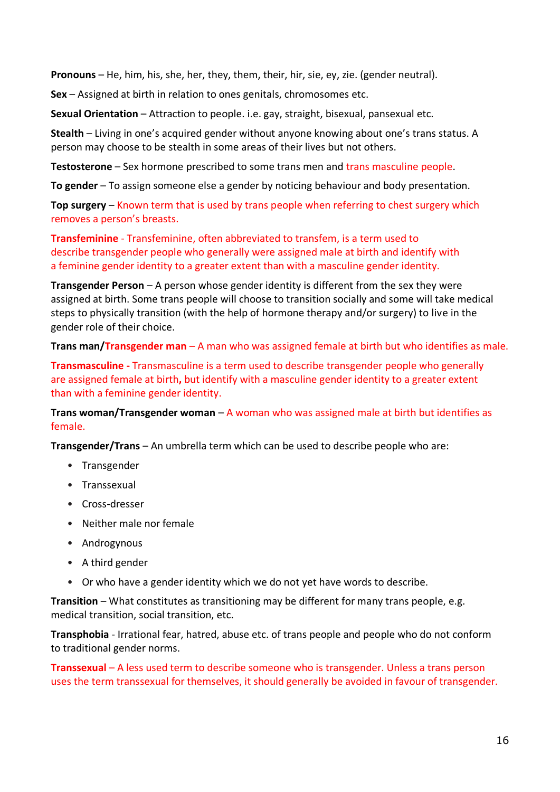**Pronouns** – He, him, his, she, her, they, them, their, hir, sie, ey, zie. (gender neutral).

**Sex** – Assigned at birth in relation to ones genitals, chromosomes etc.

**Sexual Orientation** – Attraction to people. i.e. gay, straight, bisexual, pansexual etc.

**Stealth** – Living in one's acquired gender without anyone knowing about one's trans status. A person may choose to be stealth in some areas of their lives but not others.

**Testosterone** – Sex hormone prescribed to some trans men and trans masculine people.

**To gender** – To assign someone else a gender by noticing behaviour and body presentation.

**Top surgery** – Known term that is used by trans people when referring to chest surgery which removes a person's breasts.

**Transfeminine** - Transfeminine, often abbreviated to transfem, is a term used to describe [transgender](https://gender.wikia.org/wiki/Transgender) people who generally were assigned male at birth and [identify](https://gender.wikia.org/wiki/Gender_identity) with a [feminine](https://gender.wikia.org/wiki/Femininity) gender identity to a greater extent than with a [masculine](https://gender.wikia.org/wiki/Masculinity) gender identity.

**Transgender Person** – A person whose gender identity is different from the sex they were assigned at birth. Some trans people will choose to transition socially and some will take medical steps to physically transition (with the help of hormone therapy and/or surgery) to live in the gender role of their choice.

**Trans man/Transgender man** – A man who was assigned female at birth but who identifies as male.

**Transmasculine -** Transmasculine is a term used to describe transgender people who generally are assigned female at birth**,** but identify with a masculine gender identity to a greater extent than with a feminine gender identity.

**Trans woman/Transgender woman** – A woman who was assigned male at birth but identifies as female.

**Transgender/Trans** – An umbrella term which can be used to describe people who are:

- Transgender
- Transsexual
- Cross-dresser
- Neither male nor female
- Androgynous
- A third gender
- Or who have a gender identity which we do not yet have words to describe.

**Transition** – What constitutes as transitioning may be different for many trans people, e.g. medical transition, social transition, etc.

**Transphobia** - Irrational fear, hatred, abuse etc. of trans people and people who do not conform to traditional gender norms.

**Transsexual** – A less used term to describe someone who is transgender. Unless a trans person uses the term transsexual for themselves, it should generally be avoided in favour of transgender.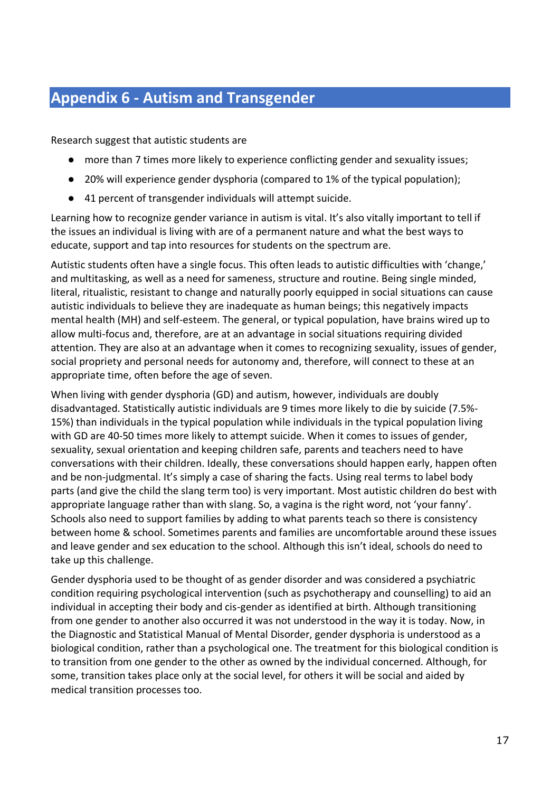## **Appendix 6 - Autism and Transgender**

Research suggest that autistic students are

- more than 7 times more likely to experience conflicting gender and sexuality issues;
- 20% will experience gender dysphoria (compared to 1% of the typical population);
- 41 percent of transgender individuals will attempt suicide.

Learning how to recognize gender variance in autism is vital. It's also vitally important to tell if the issues an individual is living with are of a permanent nature and what the best ways to educate, support and tap into resources for students on the spectrum are.

Autistic students often have a single focus. This often leads to autistic difficulties with 'change,' and multitasking, as well as a need for sameness, structure and routine. Being single minded, literal, ritualistic, resistant to change and naturally poorly equipped in social situations can cause autistic individuals to believe they are inadequate as human beings; this negatively impacts mental health (MH) and self-esteem. The general, or typical population, have brains wired up to allow multi-focus and, therefore, are at an advantage in social situations requiring divided attention. They are also at an advantage when it comes to recognizing sexuality, issues of gender, social propriety and personal needs for autonomy and, therefore, will connect to these at an appropriate time, often before the age of seven.

When living with gender dysphoria (GD) and autism, however, individuals are doubly disadvantaged. Statistically autistic individuals are 9 times more likely to die by suicide (7.5%- 15%) than individuals in the typical population while individuals in the typical population living with GD are 40-50 times more likely to attempt suicide. When it comes to issues of gender, sexuality, sexual orientation and keeping children safe, parents and teachers need to have conversations with their children. Ideally, these conversations should happen early, happen often and be non-judgmental. It's simply a case of sharing the facts. Using real terms to label body parts (and give the child the slang term too) is very important. Most autistic children do best with appropriate language rather than with slang. So, a vagina is the right word, not 'your fanny'. Schools also need to support families by adding to what parents teach so there is consistency between home & school. Sometimes parents and families are uncomfortable around these issues and leave gender and sex education to the school. Although this isn't ideal, schools do need to take up this challenge.

Gender dysphoria used to be thought of as gender disorder and was considered a psychiatric condition requiring psychological intervention (such as psychotherapy and counselling) to aid an individual in accepting their body and cis-gender as identified at birth. Although transitioning from one gender to another also occurred it was not understood in the way it is today. Now, in the Diagnostic and Statistical Manual of Mental Disorder, gender dysphoria is understood as a biological condition, rather than a psychological one. The treatment for this biological condition is to transition from one gender to the other as owned by the individual concerned. Although, for some, transition takes place only at the social level, for others it will be social and aided by medical transition processes too.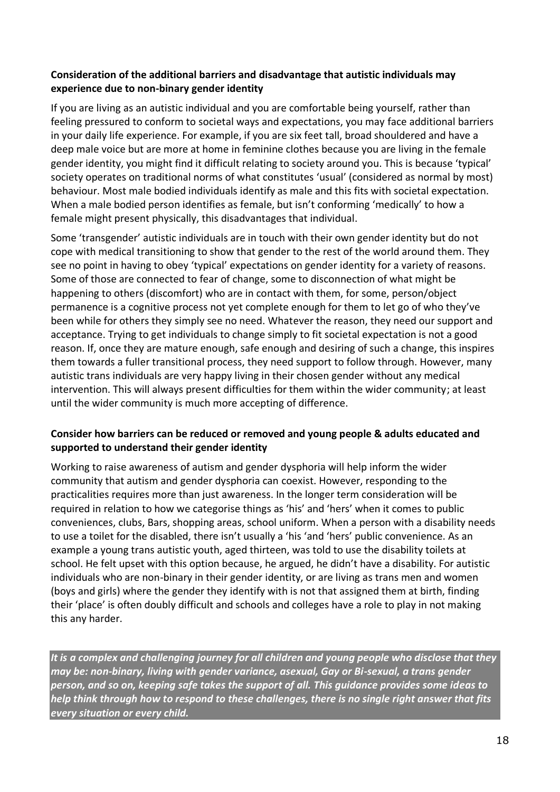#### **Consideration of the additional barriers and disadvantage that autistic individuals may experience due to non-binary gender identity**

If you are living as an autistic individual and you are comfortable being yourself, rather than feeling pressured to conform to societal ways and expectations, you may face additional barriers in your daily life experience. For example, if you are six feet tall, broad shouldered and have a deep male voice but are more at home in feminine clothes because you are living in the female gender identity, you might find it difficult relating to society around you. This is because 'typical' society operates on traditional norms of what constitutes 'usual' (considered as normal by most) behaviour. Most male bodied individuals identify as male and this fits with societal expectation. When a male bodied person identifies as female, but isn't conforming 'medically' to how a female might present physically, this disadvantages that individual.

Some 'transgender' autistic individuals are in touch with their own gender identity but do not cope with medical transitioning to show that gender to the rest of the world around them. They see no point in having to obey 'typical' expectations on gender identity for a variety of reasons. Some of those are connected to fear of change, some to disconnection of what might be happening to others (discomfort) who are in contact with them, for some, person/object permanence is a cognitive process not yet complete enough for them to let go of who they've been while for others they simply see no need. Whatever the reason, they need our support and acceptance. Trying to get individuals to change simply to fit societal expectation is not a good reason. If, once they are mature enough, safe enough and desiring of such a change, this inspires them towards a fuller transitional process, they need support to follow through. However, many autistic trans individuals are very happy living in their chosen gender without any medical intervention. This will always present difficulties for them within the wider community; at least until the wider community is much more accepting of difference.

#### **Consider how barriers can be reduced or removed and young people & adults educated and supported to understand their gender identity**

Working to raise awareness of autism and gender dysphoria will help inform the wider community that autism and gender dysphoria can coexist. However, responding to the practicalities requires more than just awareness. In the longer term consideration will be required in relation to how we categorise things as 'his' and 'hers' when it comes to public conveniences, clubs, Bars, shopping areas, school uniform. When a person with a disability needs to use a toilet for the disabled, there isn't usually a 'his 'and 'hers' public convenience. As an example a young trans autistic youth, aged thirteen, was told to use the disability toilets at school. He felt upset with this option because, he argued, he didn't have a disability. For autistic individuals who are non-binary in their gender identity, or are living as trans men and women (boys and girls) where the gender they identify with is not that assigned them at birth, finding their 'place' is often doubly difficult and schools and colleges have a role to play in not making this any harder.

*It is a complex and challenging journey for all children and young people who disclose that they may be: non-binary, living with gender variance, asexual, Gay or Bi-sexual, a trans gender person, and so on, keeping safe takes the support of all. This guidance provides some ideas to help think through how to respond to these challenges, there is no single right answer that fits every situation or every child.*